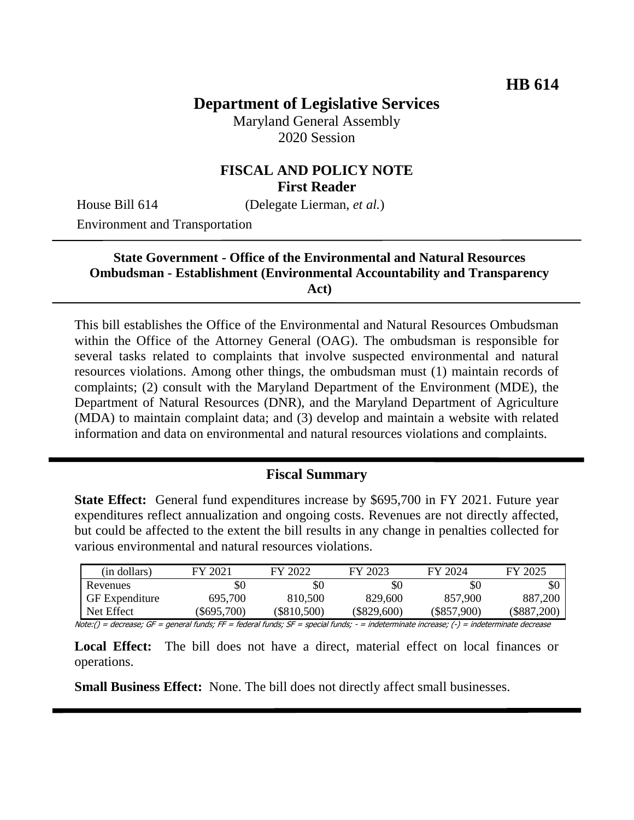# **Department of Legislative Services**

Maryland General Assembly 2020 Session

### **FISCAL AND POLICY NOTE First Reader**

House Bill 614 (Delegate Lierman, *et al.*)

Environment and Transportation

#### **State Government - Office of the Environmental and Natural Resources Ombudsman - Establishment (Environmental Accountability and Transparency Act)**

This bill establishes the Office of the Environmental and Natural Resources Ombudsman within the Office of the Attorney General (OAG). The ombudsman is responsible for several tasks related to complaints that involve suspected environmental and natural resources violations. Among other things, the ombudsman must (1) maintain records of complaints; (2) consult with the Maryland Department of the Environment (MDE), the Department of Natural Resources (DNR), and the Maryland Department of Agriculture (MDA) to maintain complaint data; and (3) develop and maintain a website with related information and data on environmental and natural resources violations and complaints.

## **Fiscal Summary**

**State Effect:** General fund expenditures increase by \$695,700 in FY 2021. Future year expenditures reflect annualization and ongoing costs. Revenues are not directly affected, but could be affected to the extent the bill results in any change in penalties collected for various environmental and natural resources violations.

| (in dollars)          | FY 2021       | FY 2022     | FY 2023       | FY 2024     | FY 2025     |
|-----------------------|---------------|-------------|---------------|-------------|-------------|
| Revenues              | \$0           | \$0         | \$0           | \$0         | \$0         |
| <b>GF</b> Expenditure | 695,700       | 810.500     | 829,600       | 857,900     | 887,200     |
| Net Effect            | $(\$695,700)$ | (\$810,500) | $(\$829,600)$ | (\$857,900) | (\$887,200) |

Note:() = decrease; GF = general funds; FF = federal funds; SF = special funds; - = indeterminate increase; (-) = indeterminate decrease

Local Effect: The bill does not have a direct, material effect on local finances or operations.

**Small Business Effect:** None. The bill does not directly affect small businesses.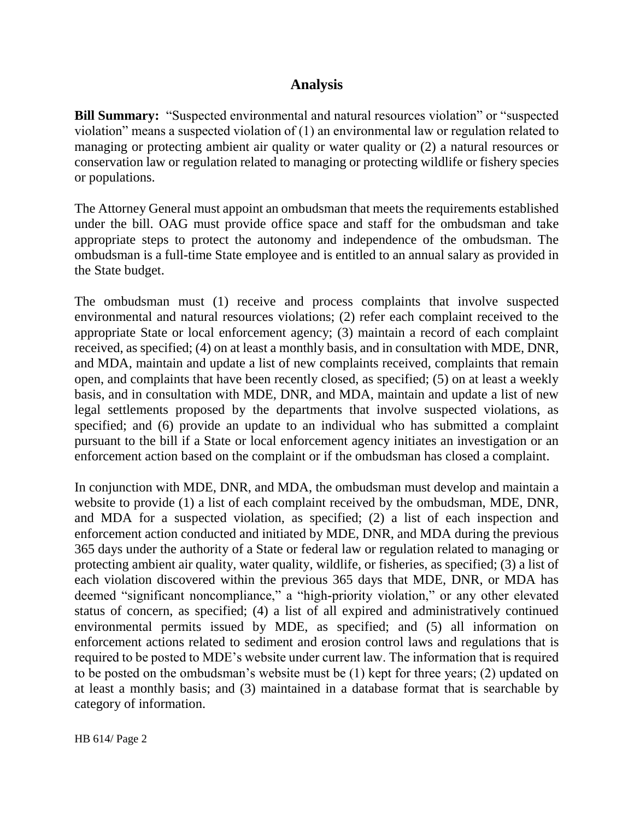## **Analysis**

**Bill Summary:** "Suspected environmental and natural resources violation" or "suspected violation" means a suspected violation of (1) an environmental law or regulation related to managing or protecting ambient air quality or water quality or (2) a natural resources or conservation law or regulation related to managing or protecting wildlife or fishery species or populations.

The Attorney General must appoint an ombudsman that meets the requirements established under the bill. OAG must provide office space and staff for the ombudsman and take appropriate steps to protect the autonomy and independence of the ombudsman. The ombudsman is a full-time State employee and is entitled to an annual salary as provided in the State budget.

The ombudsman must (1) receive and process complaints that involve suspected environmental and natural resources violations; (2) refer each complaint received to the appropriate State or local enforcement agency; (3) maintain a record of each complaint received, as specified; (4) on at least a monthly basis, and in consultation with MDE, DNR, and MDA, maintain and update a list of new complaints received, complaints that remain open, and complaints that have been recently closed, as specified; (5) on at least a weekly basis, and in consultation with MDE, DNR, and MDA, maintain and update a list of new legal settlements proposed by the departments that involve suspected violations, as specified; and (6) provide an update to an individual who has submitted a complaint pursuant to the bill if a State or local enforcement agency initiates an investigation or an enforcement action based on the complaint or if the ombudsman has closed a complaint.

In conjunction with MDE, DNR, and MDA, the ombudsman must develop and maintain a website to provide (1) a list of each complaint received by the ombudsman, MDE, DNR, and MDA for a suspected violation, as specified; (2) a list of each inspection and enforcement action conducted and initiated by MDE, DNR, and MDA during the previous 365 days under the authority of a State or federal law or regulation related to managing or protecting ambient air quality, water quality, wildlife, or fisheries, as specified; (3) a list of each violation discovered within the previous 365 days that MDE, DNR, or MDA has deemed "significant noncompliance," a "high-priority violation," or any other elevated status of concern, as specified; (4) a list of all expired and administratively continued environmental permits issued by MDE, as specified; and (5) all information on enforcement actions related to sediment and erosion control laws and regulations that is required to be posted to MDE's website under current law. The information that is required to be posted on the ombudsman's website must be (1) kept for three years; (2) updated on at least a monthly basis; and (3) maintained in a database format that is searchable by category of information.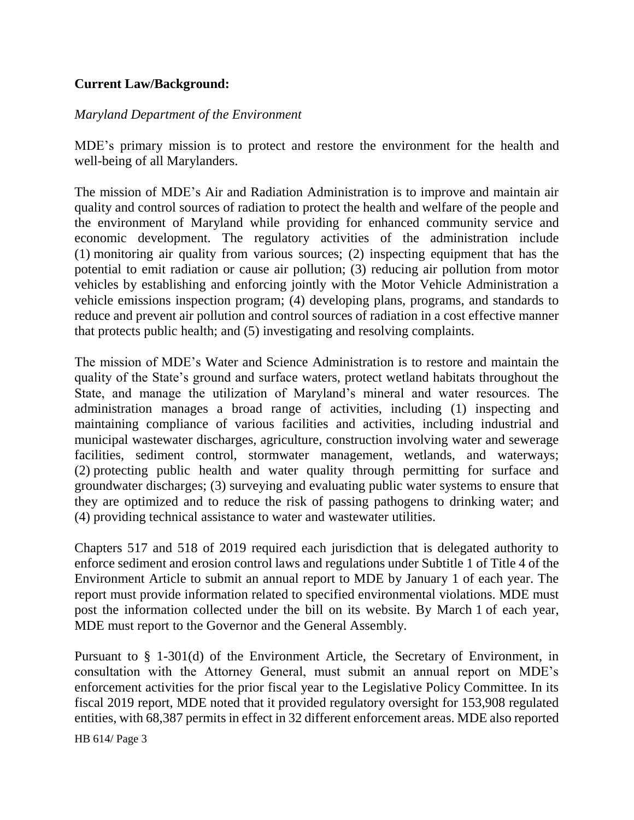### **Current Law/Background:**

#### *Maryland Department of the Environment*

MDE's primary mission is to protect and restore the environment for the health and well-being of all Marylanders.

The mission of MDE's Air and Radiation Administration is to improve and maintain air quality and control sources of radiation to protect the health and welfare of the people and the environment of Maryland while providing for enhanced community service and economic development. The regulatory activities of the administration include (1) monitoring air quality from various sources; (2) inspecting equipment that has the potential to emit radiation or cause air pollution; (3) reducing air pollution from motor vehicles by establishing and enforcing jointly with the Motor Vehicle Administration a vehicle emissions inspection program; (4) developing plans, programs, and standards to reduce and prevent air pollution and control sources of radiation in a cost effective manner that protects public health; and (5) investigating and resolving complaints.

The mission of MDE's Water and Science Administration is to restore and maintain the quality of the State's ground and surface waters, protect wetland habitats throughout the State, and manage the utilization of Maryland's mineral and water resources. The administration manages a broad range of activities, including (1) inspecting and maintaining compliance of various facilities and activities, including industrial and municipal wastewater discharges, agriculture, construction involving water and sewerage facilities, sediment control, stormwater management, wetlands, and waterways; (2) protecting public health and water quality through permitting for surface and groundwater discharges; (3) surveying and evaluating public water systems to ensure that they are optimized and to reduce the risk of passing pathogens to drinking water; and (4) providing technical assistance to water and wastewater utilities.

Chapters 517 and 518 of 2019 required each jurisdiction that is delegated authority to enforce sediment and erosion control laws and regulations under Subtitle 1 of Title 4 of the Environment Article to submit an annual report to MDE by January 1 of each year. The report must provide information related to specified environmental violations. MDE must post the information collected under the bill on its website. By March 1 of each year, MDE must report to the Governor and the General Assembly.

Pursuant to § 1-301(d) of the Environment Article, the Secretary of Environment, in consultation with the Attorney General, must submit an annual report on MDE's enforcement activities for the prior fiscal year to the Legislative Policy Committee. In its fiscal 2019 report, MDE noted that it provided regulatory oversight for 153,908 regulated entities, with 68,387 permits in effect in 32 different enforcement areas. MDE also reported

HB 614/ Page 3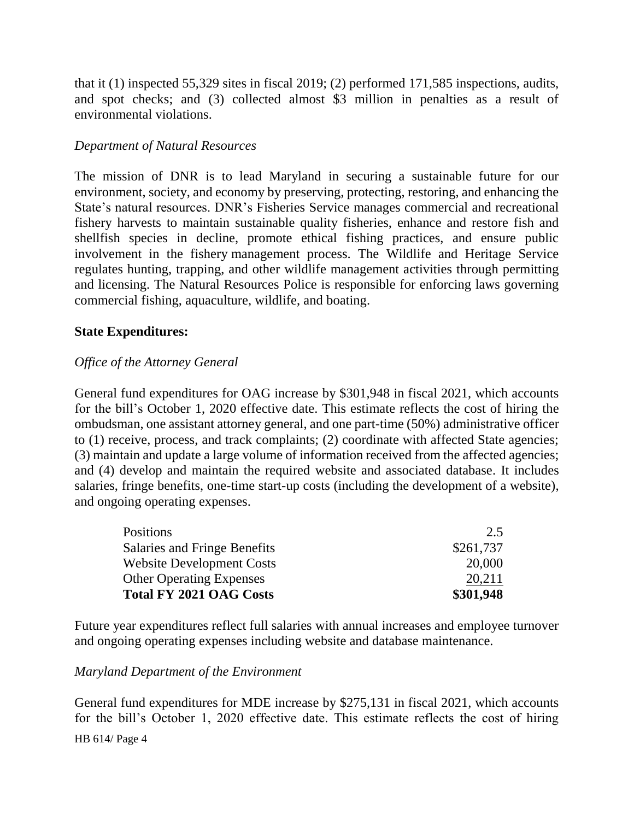that it (1) inspected 55,329 sites in fiscal 2019; (2) performed 171,585 inspections, audits, and spot checks; and (3) collected almost \$3 million in penalties as a result of environmental violations.

#### *Department of Natural Resources*

The mission of DNR is to lead Maryland in securing a sustainable future for our environment, society, and economy by preserving, protecting, restoring, and enhancing the State's natural resources. DNR's Fisheries Service manages commercial and recreational fishery harvests to maintain sustainable quality fisheries, enhance and restore fish and shellfish species in decline, promote ethical fishing practices, and ensure public involvement in the fishery management process. The Wildlife and Heritage Service regulates hunting, trapping, and other wildlife management activities through permitting and licensing. The Natural Resources Police is responsible for enforcing laws governing commercial fishing, aquaculture, wildlife, and boating.

#### **State Expenditures:**

#### *Office of the Attorney General*

General fund expenditures for OAG increase by \$301,948 in fiscal 2021, which accounts for the bill's October 1, 2020 effective date. This estimate reflects the cost of hiring the ombudsman, one assistant attorney general, and one part-time (50%) administrative officer to (1) receive, process, and track complaints; (2) coordinate with affected State agencies; (3) maintain and update a large volume of information received from the affected agencies; and (4) develop and maintain the required website and associated database. It includes salaries, fringe benefits, one-time start-up costs (including the development of a website), and ongoing operating expenses.

| <b>Positions</b>                 | 2.5       |
|----------------------------------|-----------|
| Salaries and Fringe Benefits     | \$261,737 |
| <b>Website Development Costs</b> | 20,000    |
| <b>Other Operating Expenses</b>  | 20,211    |
| <b>Total FY 2021 OAG Costs</b>   | \$301,948 |

Future year expenditures reflect full salaries with annual increases and employee turnover and ongoing operating expenses including website and database maintenance.

#### *Maryland Department of the Environment*

HB 614/ Page 4 General fund expenditures for MDE increase by \$275,131 in fiscal 2021, which accounts for the bill's October 1, 2020 effective date. This estimate reflects the cost of hiring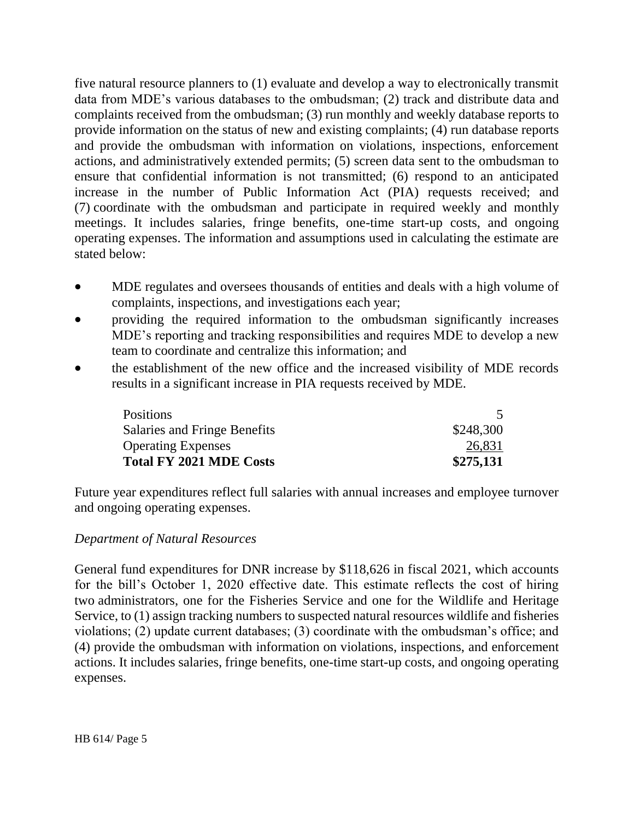five natural resource planners to (1) evaluate and develop a way to electronically transmit data from MDE's various databases to the ombudsman; (2) track and distribute data and complaints received from the ombudsman; (3) run monthly and weekly database reports to provide information on the status of new and existing complaints; (4) run database reports and provide the ombudsman with information on violations, inspections, enforcement actions, and administratively extended permits; (5) screen data sent to the ombudsman to ensure that confidential information is not transmitted; (6) respond to an anticipated increase in the number of Public Information Act (PIA) requests received; and (7) coordinate with the ombudsman and participate in required weekly and monthly meetings. It includes salaries, fringe benefits, one-time start-up costs, and ongoing operating expenses. The information and assumptions used in calculating the estimate are stated below:

- MDE regulates and oversees thousands of entities and deals with a high volume of complaints, inspections, and investigations each year;
- providing the required information to the ombudsman significantly increases MDE's reporting and tracking responsibilities and requires MDE to develop a new team to coordinate and centralize this information; and
- the establishment of the new office and the increased visibility of MDE records results in a significant increase in PIA requests received by MDE.

| <b>Positions</b>               |           |
|--------------------------------|-----------|
| Salaries and Fringe Benefits   | \$248,300 |
| <b>Operating Expenses</b>      | 26,831    |
| <b>Total FY 2021 MDE Costs</b> | \$275,131 |

Future year expenditures reflect full salaries with annual increases and employee turnover and ongoing operating expenses.

### *Department of Natural Resources*

General fund expenditures for DNR increase by \$118,626 in fiscal 2021, which accounts for the bill's October 1, 2020 effective date. This estimate reflects the cost of hiring two administrators, one for the Fisheries Service and one for the Wildlife and Heritage Service, to (1) assign tracking numbers to suspected natural resources wildlife and fisheries violations; (2) update current databases; (3) coordinate with the ombudsman's office; and (4) provide the ombudsman with information on violations, inspections, and enforcement actions. It includes salaries, fringe benefits, one-time start-up costs, and ongoing operating expenses.